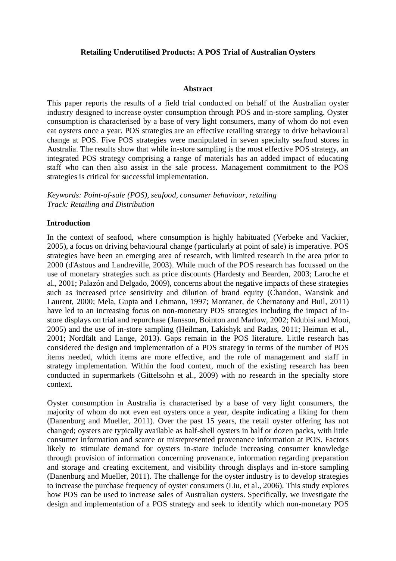### **Retailing Underutilised Products: A POS Trial of Australian Oysters**

#### **Abstract**

This paper reports the results of a field trial conducted on behalf of the Australian oyster industry designed to increase oyster consumption through POS and in-store sampling. Oyster consumption is characterised by a base of very light consumers, many of whom do not even eat oysters once a year. POS strategies are an effective retailing strategy to drive behavioural change at POS. Five POS strategies were manipulated in seven specialty seafood stores in Australia. The results show that while in-store sampling is the most effective POS strategy, an integrated POS strategy comprising a range of materials has an added impact of educating staff who can then also assist in the sale process. Management commitment to the POS strategies is critical for successful implementation.

*Keywords: Point-of-sale (POS), seafood, consumer behaviour, retailing Track: Retailing and Distribution*

### **Introduction**

In the context of seafood, where consumption is highly habituated (Verbeke and Vackier, 2005), a focus on driving behavioural change (particularly at point of sale) is imperative. POS strategies have been an emerging area of research, with limited research in the area prior to 2000 (d'Astous and Landreville, 2003). While much of the POS research has focussed on the use of monetary strategies such as price discounts (Hardesty and Bearden, 2003; Laroche et al., 2001; Palazón and Delgado, 2009), concerns about the negative impacts of these strategies such as increased price sensitivity and dilution of brand equity (Chandon, Wansink and Laurent, 2000; Mela, Gupta and Lehmann, 1997; Montaner, de Chernatony and Buil, 2011) have led to an increasing focus on non-monetary POS strategies including the impact of instore displays on trial and repurchase (Jansson, Bointon and Marlow, 2002; Ndubisi and Mooi, 2005) and the use of in-store sampling (Heilman, Lakishyk and Radas, 2011; Heiman et al., 2001; Nordfält and Lange, 2013). Gaps remain in the POS literature. Little research has considered the design and implementation of a POS strategy in terms of the number of POS items needed, which items are more effective, and the role of management and staff in strategy implementation. Within the food context, much of the existing research has been conducted in supermarkets (Gittelsohn et al., 2009) with no research in the specialty store context.

Oyster consumption in Australia is characterised by a base of very light consumers, the majority of whom do not even eat oysters once a year, despite indicating a liking for them (Danenburg and Mueller, 2011). Over the past 15 years, the retail oyster offering has not changed; oysters are typically available as half-shell oysters in half or dozen packs, with little consumer information and scarce or misrepresented provenance information at POS. Factors likely to stimulate demand for oysters in-store include increasing consumer knowledge through provision of information concerning provenance, information regarding preparation and storage and creating excitement, and visibility through displays and in-store sampling (Danenburg and Mueller, 2011). The challenge for the oyster industry is to develop strategies to increase the purchase frequency of oyster consumers (Liu, et al., 2006). This study explores how POS can be used to increase sales of Australian oysters. Specifically, we investigate the design and implementation of a POS strategy and seek to identify which non-monetary POS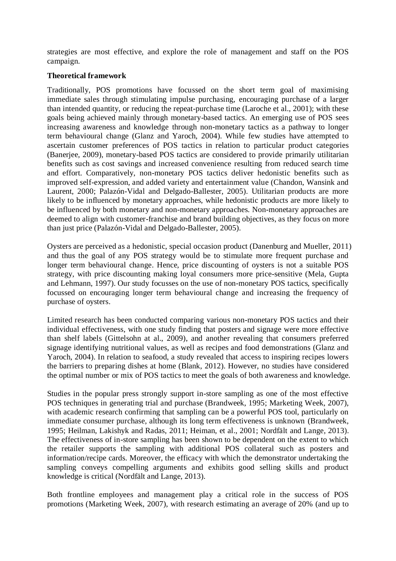strategies are most effective, and explore the role of management and staff on the POS campaign.

### **Theoretical framework**

Traditionally, POS promotions have focussed on the short term goal of maximising immediate sales through stimulating impulse purchasing, encouraging purchase of a larger than intended quantity, or reducing the repeat-purchase time (Laroche et al., 2001); with these goals being achieved mainly through monetary-based tactics. An emerging use of POS sees increasing awareness and knowledge through non-monetary tactics as a pathway to longer term behavioural change (Glanz and Yaroch, 2004). While few studies have attempted to ascertain customer preferences of POS tactics in relation to particular product categories (Banerjee, 2009), monetary-based POS tactics are considered to provide primarily utilitarian benefits such as cost savings and increased convenience resulting from reduced search time and effort. Comparatively, non-monetary POS tactics deliver hedonistic benefits such as improved self-expression, and added variety and entertainment value (Chandon, Wansink and Laurent, 2000; Palazón-Vidal and Delgado-Ballester, 2005). Utilitarian products are more likely to be influenced by monetary approaches, while hedonistic products are more likely to be influenced by both monetary and non-monetary approaches. Non-monetary approaches are deemed to align with customer-franchise and brand building objectives, as they focus on more than just price (Palazón-Vidal and Delgado-Ballester, 2005).

Oysters are perceived as a hedonistic, special occasion product (Danenburg and Mueller, 2011) and thus the goal of any POS strategy would be to stimulate more frequent purchase and longer term behavioural change. Hence, price discounting of oysters is not a suitable POS strategy, with price discounting making loyal consumers more price-sensitive (Mela, Gupta and Lehmann, 1997). Our study focusses on the use of non-monetary POS tactics, specifically focussed on encouraging longer term behavioural change and increasing the frequency of purchase of oysters.

Limited research has been conducted comparing various non-monetary POS tactics and their individual effectiveness, with one study finding that posters and signage were more effective than shelf labels (Gittelsohn at al., 2009), and another revealing that consumers preferred signage identifying nutritional values, as well as recipes and food demonstrations (Glanz and Yaroch, 2004). In relation to seafood, a study revealed that access to inspiring recipes lowers the barriers to preparing dishes at home (Blank, 2012). However, no studies have considered the optimal number or mix of POS tactics to meet the goals of both awareness and knowledge.

Studies in the popular press strongly support in-store sampling as one of the most effective POS techniques in generating trial and purchase (Brandweek, 1995; Marketing Week, 2007), with academic research confirming that sampling can be a powerful POS tool, particularly on immediate consumer purchase, although its long term effectiveness is unknown (Brandweek, 1995; Heilman, Lakishyk and Radas, 2011; Heiman, et al., 2001; Nordfält and Lange, 2013). The effectiveness of in-store sampling has been shown to be dependent on the extent to which the retailer supports the sampling with additional POS collateral such as posters and information/recipe cards. Moreover, the efficacy with which the demonstrator undertaking the sampling conveys compelling arguments and exhibits good selling skills and product knowledge is critical (Nordfält and Lange, 2013).

Both frontline employees and management play a critical role in the success of POS promotions (Marketing Week, 2007), with research estimating an average of 20% (and up to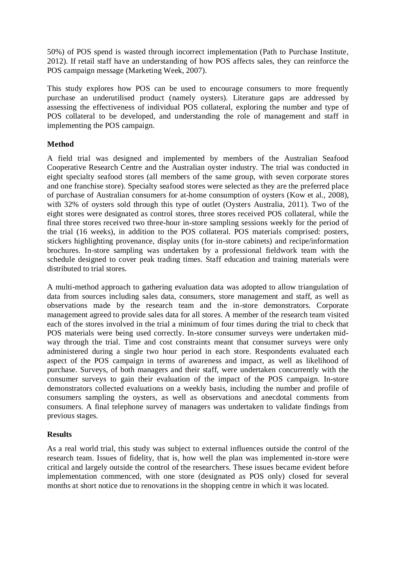50%) of POS spend is wasted through incorrect implementation (Path to Purchase Institute, 2012). If retail staff have an understanding of how POS affects sales, they can reinforce the POS campaign message (Marketing Week, 2007).

This study explores how POS can be used to encourage consumers to more frequently purchase an underutilised product (namely oysters). Literature gaps are addressed by assessing the effectiveness of individual POS collateral, exploring the number and type of POS collateral to be developed, and understanding the role of management and staff in implementing the POS campaign.

# **Method**

A field trial was designed and implemented by members of the Australian Seafood Cooperative Research Centre and the Australian oyster industry. The trial was conducted in eight specialty seafood stores (all members of the same group, with seven corporate stores and one franchise store). Specialty seafood stores were selected as they are the preferred place of purchase of Australian consumers for at-home consumption of oysters (Kow et al., 2008), with 32% of oysters sold through this type of outlet (Oysters Australia, 2011). Two of the eight stores were designated as control stores, three stores received POS collateral, while the final three stores received two three-hour in-store sampling sessions weekly for the period of the trial (16 weeks), in addition to the POS collateral. POS materials comprised: posters, stickers highlighting provenance, display units (for in-store cabinets) and recipe/information brochures. In-store sampling was undertaken by a professional fieldwork team with the schedule designed to cover peak trading times. Staff education and training materials were distributed to trial stores.

A multi-method approach to gathering evaluation data was adopted to allow triangulation of data from sources including sales data, consumers, store management and staff, as well as observations made by the research team and the in-store demonstrators. Corporate management agreed to provide sales data for all stores. A member of the research team visited each of the stores involved in the trial a minimum of four times during the trial to check that POS materials were being used correctly. In-store consumer surveys were undertaken midway through the trial. Time and cost constraints meant that consumer surveys were only administered during a single two hour period in each store. Respondents evaluated each aspect of the POS campaign in terms of awareness and impact, as well as likelihood of purchase. Surveys, of both managers and their staff, were undertaken concurrently with the consumer surveys to gain their evaluation of the impact of the POS campaign. In-store demonstrators collected evaluations on a weekly basis, including the number and profile of consumers sampling the oysters, as well as observations and anecdotal comments from consumers. A final telephone survey of managers was undertaken to validate findings from previous stages.

# **Results**

As a real world trial, this study was subject to external influences outside the control of the research team. Issues of fidelity, that is, how well the plan was implemented in-store were critical and largely outside the control of the researchers. These issues became evident before implementation commenced, with one store (designated as POS only) closed for several months at short notice due to renovations in the shopping centre in which it was located.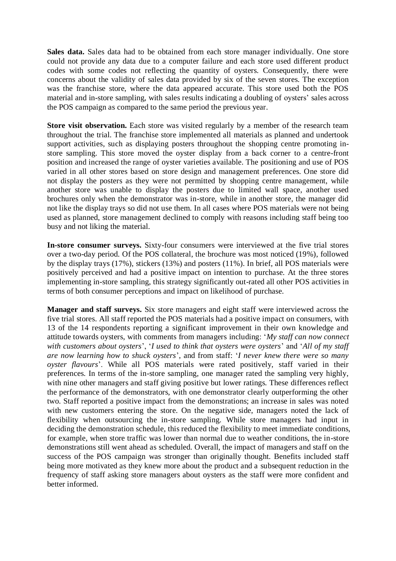**Sales data.** Sales data had to be obtained from each store manager individually. One store could not provide any data due to a computer failure and each store used different product codes with some codes not reflecting the quantity of oysters. Consequently, there were concerns about the validity of sales data provided by six of the seven stores. The exception was the franchise store, where the data appeared accurate. This store used both the POS material and in-store sampling, with sales results indicating a doubling of oysters' sales across the POS campaign as compared to the same period the previous year.

**Store visit observation.** Each store was visited regularly by a member of the research team throughout the trial. The franchise store implemented all materials as planned and undertook support activities, such as displaying posters throughout the shopping centre promoting instore sampling. This store moved the oyster display from a back corner to a centre-front position and increased the range of oyster varieties available. The positioning and use of POS varied in all other stores based on store design and management preferences. One store did not display the posters as they were not permitted by shopping centre management, while another store was unable to display the posters due to limited wall space, another used brochures only when the demonstrator was in-store, while in another store, the manager did not like the display trays so did not use them. In all cases where POS materials were not being used as planned, store management declined to comply with reasons including staff being too busy and not liking the material.

**In-store consumer surveys.** Sixty-four consumers were interviewed at the five trial stores over a two-day period. Of the POS collateral, the brochure was most noticed (19%), followed by the display trays (17%), stickers (13%) and posters (11%). In brief, all POS materials were positively perceived and had a positive impact on intention to purchase. At the three stores implementing in-store sampling, this strategy significantly out-rated all other POS activities in terms of both consumer perceptions and impact on likelihood of purchase.

**Manager and staff surveys.** Six store managers and eight staff were interviewed across the five trial stores. All staff reported the POS materials had a positive impact on consumers, with 13 of the 14 respondents reporting a significant improvement in their own knowledge and attitude towards oysters, with comments from managers including: '*My staff can now connect with customers about oysters*', '*I used to think that oysters were oysters*' and '*All of my staff are now learning how to shuck oysters*', and from staff: '*I never knew there were so many oyster flavours*'. While all POS materials were rated positively, staff varied in their preferences. In terms of the in-store sampling, one manager rated the sampling very highly, with nine other managers and staff giving positive but lower ratings. These differences reflect the performance of the demonstrators, with one demonstrator clearly outperforming the other two. Staff reported a positive impact from the demonstrations; an increase in sales was noted with new customers entering the store. On the negative side, managers noted the lack of flexibility when outsourcing the in-store sampling. While store managers had input in deciding the demonstration schedule, this reduced the flexibility to meet immediate conditions, for example, when store traffic was lower than normal due to weather conditions, the in-store demonstrations still went ahead as scheduled. Overall, the impact of managers and staff on the success of the POS campaign was stronger than originally thought. Benefits included staff being more motivated as they knew more about the product and a subsequent reduction in the frequency of staff asking store managers about oysters as the staff were more confident and better informed.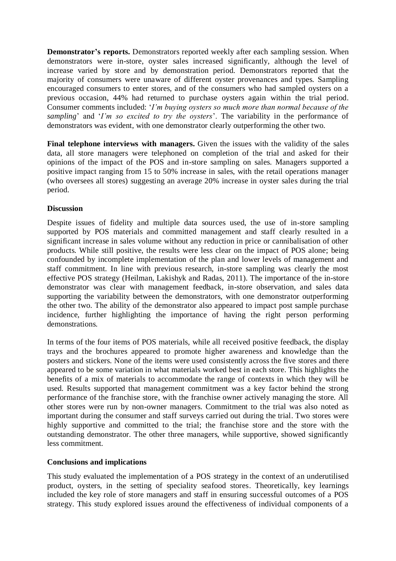**Demonstrator's reports.** Demonstrators reported weekly after each sampling session. When demonstrators were in-store, oyster sales increased significantly, although the level of increase varied by store and by demonstration period. Demonstrators reported that the majority of consumers were unaware of different oyster provenances and types. Sampling encouraged consumers to enter stores, and of the consumers who had sampled oysters on a previous occasion, 44% had returned to purchase oysters again within the trial period. Consumer comments included: '*I'm buying oysters so much more than normal because of the sampling*' and '*I'm so excited to try the oysters*'. The variability in the performance of demonstrators was evident, with one demonstrator clearly outperforming the other two.

**Final telephone interviews with managers.** Given the issues with the validity of the sales data, all store managers were telephoned on completion of the trial and asked for their opinions of the impact of the POS and in-store sampling on sales. Managers supported a positive impact ranging from 15 to 50% increase in sales, with the retail operations manager (who oversees all stores) suggesting an average 20% increase in oyster sales during the trial period.

### **Discussion**

Despite issues of fidelity and multiple data sources used, the use of in-store sampling supported by POS materials and committed management and staff clearly resulted in a significant increase in sales volume without any reduction in price or cannibalisation of other products. While still positive, the results were less clear on the impact of POS alone; being confounded by incomplete implementation of the plan and lower levels of management and staff commitment. In line with previous research, in-store sampling was clearly the most effective POS strategy (Heilman, Lakishyk and Radas, 2011). The importance of the in-store demonstrator was clear with management feedback, in-store observation, and sales data supporting the variability between the demonstrators, with one demonstrator outperforming the other two. The ability of the demonstrator also appeared to impact post sample purchase incidence, further highlighting the importance of having the right person performing demonstrations.

In terms of the four items of POS materials, while all received positive feedback, the display trays and the brochures appeared to promote higher awareness and knowledge than the posters and stickers. None of the items were used consistently across the five stores and there appeared to be some variation in what materials worked best in each store. This highlights the benefits of a mix of materials to accommodate the range of contexts in which they will be used. Results supported that management commitment was a key factor behind the strong performance of the franchise store, with the franchise owner actively managing the store. All other stores were run by non-owner managers. Commitment to the trial was also noted as important during the consumer and staff surveys carried out during the trial. Two stores were highly supportive and committed to the trial; the franchise store and the store with the outstanding demonstrator. The other three managers, while supportive, showed significantly less commitment.

### **Conclusions and implications**

This study evaluated the implementation of a POS strategy in the context of an underutilised product, oysters, in the setting of speciality seafood stores. Theoretically, key learnings included the key role of store managers and staff in ensuring successful outcomes of a POS strategy. This study explored issues around the effectiveness of individual components of a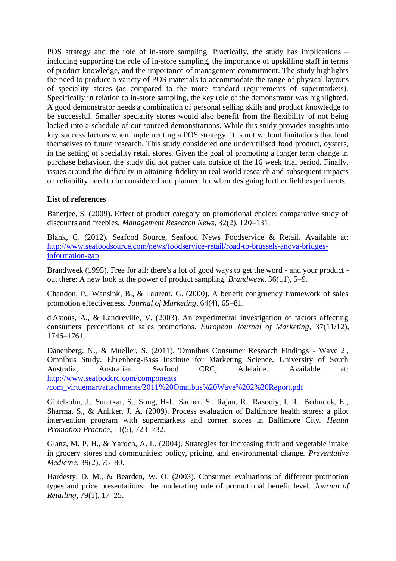POS strategy and the role of in-store sampling. Practically, the study has implications – including supporting the role of in-store sampling, the importance of upskilling staff in terms of product knowledge, and the importance of management commitment. The study highlights the need to produce a variety of POS materials to accommodate the range of physical layouts of speciality stores (as compared to the more standard requirements of supermarkets). Specifically in relation to in-store sampling, the key role of the demonstrator was highlighted. A good demonstrator needs a combination of personal selling skills and product knowledge to be successful. Smaller speciality stores would also benefit from the flexibility of not being locked into a schedule of out-sourced demonstrations. While this study provides insights into key success factors when implementing a POS strategy, it is not without limitations that lend themselves to future research. This study considered one underutilised food product, oysters, in the setting of speciality retail stores. Given the goal of promoting a longer term change in purchase behaviour, the study did not gather data outside of the 16 week trial period. Finally, issues around the difficulty in attaining fidelity in real world research and subsequent impacts on reliability need to be considered and planned for when designing further field experiments.

# **List of references**

Banerjee, S. (2009). Effect of product category on promotional choice: comparative study of discounts and freebies. *Management Research News*, 32(2), 120–131.

Blank, C. (2012). Seafood Source, Seafood News Foodservice & Retail. Available at: [http://www.seafoodsource.com/news/foodservice-retail/road-to-brussels-anova-bridges](http://www.seafoodsource.com/news/foodservice-retail/road-to-brussels-anova-bridges-information-gap)[information-gap](http://www.seafoodsource.com/news/foodservice-retail/road-to-brussels-anova-bridges-information-gap)

Brandweek (1995). Free for all; there's a lot of good ways to get the word - and your product out there: A new look at the power of product sampling. *Brandweek*, 36(11), 5–9.

Chandon, P., Wansink, B., & Laurent, G. (2000). A benefit congruency framework of sales promotion effectiveness. *Journal of Marketing*, 64(4), 65–81.

d'Astous, A., & Landreville, V. (2003). An experimental investigation of factors affecting consumers' perceptions of sales promotions. *European Journal of Marketing*, 37(11/12), 1746–1761.

Danenberg, N., & Mueller, S. (2011). 'Omnibus Consumer Research Findings - Wave 2', Omnibus Study, Ehrenberg-Bass Institute for Marketing Science, University of South Australia, Australian Seafood CRC, Adelaide. Available at: [http://www.seafoodcrc.com/components](http://www.seafoodcrc.com/components/com_virtuemart/attachments/2011%20Omnibus%20Wave%202%20Report.pdf)

[/com\\_virtuemart/attachments/2011%20Omnibus%20Wave%202%20Report.pdf](http://www.seafoodcrc.com/components/com_virtuemart/attachments/2011%20Omnibus%20Wave%202%20Report.pdf)

Gittelsohn, J., Suratkar, S., Song, H-J., Sacher, S., Rajan, R., Rasooly, I. R., Bednarek, E., Sharma, S., & Anliker, J. A. (2009). Process evaluation of Baltimore health stores: a pilot intervention program with supermarkets and corner stores in Baltimore City. *Health Promotion Practice*, 11(5), 723–732.

Glanz, M. P. H., & Yaroch, A. L. (2004). Strategies for increasing fruit and vegetable intake in grocery stores and communities: policy, pricing, and environmental change. *Preventative Medicine*, 39(2), 75–80.

Hardesty, D. M., & Bearden, W. O. (2003). Consumer evaluations of different promotion types and price presentations: the moderating role of promotional benefit level. *Journal of Retailing*, 79(1), 17–25.